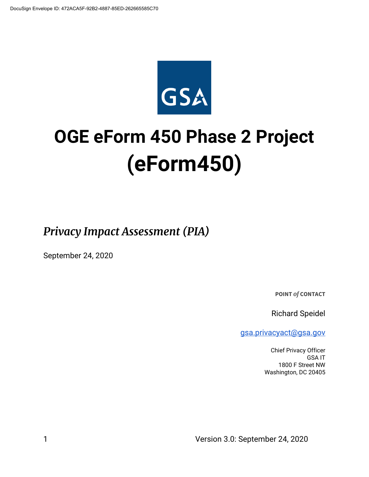

# **OGE eForm 450 Phase 2 Project (eForm450)**

*Privacy Impact Assessment (PIA)*

September 24, 2020

**POINT** *of* **CONTACT**

Richard Speidel

[gsa.privacyact@gsa.gov](mailto:gsa.privacyact@gsa.gov)

Chief Privacy Officer GSA IT 1800 F Street NW Washington, DC 20405

1 Version 3.0: September 24, 2020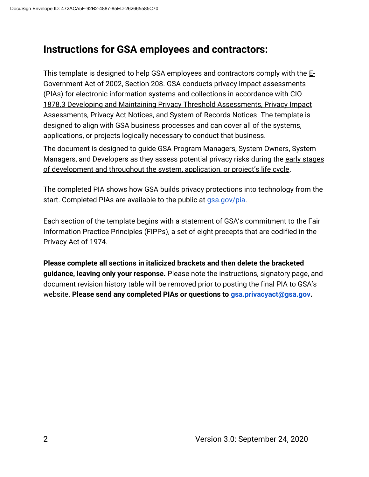## **Instructions for GSA employees and contractors:**

This template is designed to help GSA employees and contractors comply with the [E-](https://www.justice.gov/opcl/e-government-act-2002)[Government Act of 2002, Section 208.](https://www.justice.gov/opcl/e-government-act-2002) GSA conducts privacy impact assessments (PIAs) for electronic information systems and collections in accordance with [CIO](https://insite.gsa.gov/directives-library/developing-and-maintaining-privacy-threshold-assessments-privacy-impact-assessments-privacy-act-notices-and-system-of-records-notices-18783-cio)  [1878.3 Developing and Maintaining Privacy Threshold Assessments, Privacy Impact](https://insite.gsa.gov/directives-library/developing-and-maintaining-privacy-threshold-assessments-privacy-impact-assessments-privacy-act-notices-and-system-of-records-notices-18783-cio)  [Assessments, Privacy Act Notices, and System of Records Notices.](https://insite.gsa.gov/directives-library/developing-and-maintaining-privacy-threshold-assessments-privacy-impact-assessments-privacy-act-notices-and-system-of-records-notices-18783-cio) The template is designed to align with GSA business processes and can cover all of the systems, applications, or projects logically necessary to conduct that business.

The document is designed to guide GSA Program Managers, System Owners, System Manag[e](https://insite.gsa.gov/cdnstatic/insite/Managing_Enterprise_Risk_%5BCIO_IT_Security_06-30_Rev_14%5D_02-01-2019.pdf)rs, and Developers as they assess potential privacy risks during the early stages [of development and throughout the system, application, or project's life cycle](https://insite.gsa.gov/cdnstatic/insite/Managing_Enterprise_Risk_%5BCIO_IT_Security_06-30_Rev_14%5D_02-01-2019.pdf).

The completed PIA shows how GSA builds privacy protections into technology from the start. Completed PIAs are available to the public at [gsa.gov/pia.](https://www.gsa.gov/reference/gsa-privacy-program/privacy-impact-assessments-pia)

Each section of the template begins with a statement of GSA's commitment to the Fair Information Practice Principles (FIPPs), a set of eight precepts that are codified in the [Privacy Act of 1974.](https://www.justice.gov/opcl/policy-objectives)

**Please complete all sections in italicized brackets and then delete the bracketed guidance, leaving only your response.** Please note the instructions, signatory page, and document revision history table will be removed prior to posting the final PIA to GSA's website. **Please send any completed PIAs or questions to gsa.privacyact@gsa.gov.**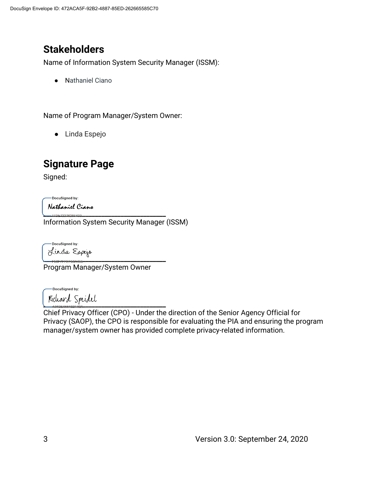# **Stakeholders**

Name of Information System Security Manager (ISSM):

● Nathaniel Ciano

Name of Program Manager/System Owner:

● Linda Espejo

# **Signature Page**

Signed:

DocuSigned by:

Nathaniel Ciano **\_\_\_\_\_\_\_\_\_\_\_\_\_\_\_\_\_\_\_\_\_\_\_\_\_\_\_\_\_\_\_\_\_\_\_\_\_\_**

Information System Security Manager (ISSM)

DocuSianed by: **\_\_\_\_\_\_\_\_\_\_\_\_\_\_\_\_\_\_\_\_\_\_\_\_\_\_\_\_\_\_\_\_\_\_\_\_\_\_**

Program Manager/System Owner

-DocuSigned by: **\_\_\_\_\_\_\_\_\_\_\_\_\_\_\_\_\_\_\_\_\_\_\_\_\_\_\_\_\_\_\_\_\_\_\_\_\_\_**

Chief Privacy Officer (CPO) - Under the direction of the Senior Agency Official for Privacy (SAOP), the CPO is responsible for evaluating the PIA and ensuring the program manager/system owner has provided complete privacy-related information.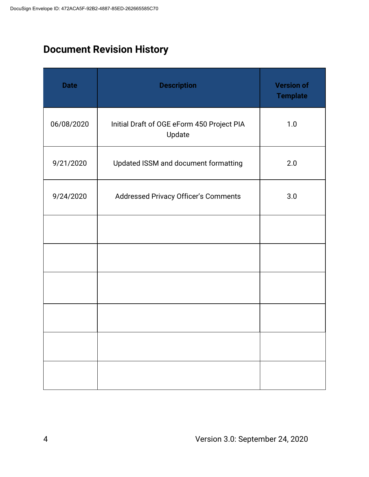# **Document Revision History**

| <b>Date</b> | <b>Description</b>                                   | <b>Version of</b><br><b>Template</b> |
|-------------|------------------------------------------------------|--------------------------------------|
| 06/08/2020  | Initial Draft of OGE eForm 450 Project PIA<br>Update | 1.0                                  |
| 9/21/2020   | Updated ISSM and document formatting                 | 2.0                                  |
| 9/24/2020   | Addressed Privacy Officer's Comments                 | 3.0                                  |
|             |                                                      |                                      |
|             |                                                      |                                      |
|             |                                                      |                                      |
|             |                                                      |                                      |
|             |                                                      |                                      |
|             |                                                      |                                      |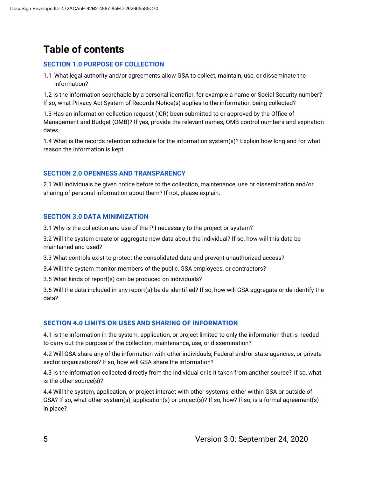# **Table of contents**

#### **SECTION 1.0 PURPOSE OF COLLECTION**

1.1 What legal authority and/or agreements allow GSA to collect, maintain, use, or disseminate the information?

1.2 Is the information searchable by a personal identifier, for example a name or Social Security number? If so, what Privacy Act System of Records Notice(s) applies to the information being collected?

1.3 Has an information collection request (ICR) been submitted to or approved by the Office of Management and Budget (OMB)? If yes, provide the relevant names, OMB control numbers and expiration dates.

1.4 What is the records retention schedule for the information system(s)? Explain how long and for what reason the information is kept.

#### **SECTION 2.0 OPENNESS AND TRANSPARENCY**

2.1 Will individuals be given notice before to the collection, maintenance, use or dissemination and/or sharing of personal information about them? If not, please explain.

#### **SECTION 3.0 DATA MINIMIZATION**

3.1 Why is the collection and use of the PII necessary to the project or system?

3.2 Will the system create or aggregate new data about the individual? If so, how will this data be maintained and used?

3.3 What controls exist to protect the consolidated data and prevent unauthorized access?

3.4 Will the system monitor members of the public, GSA employees, or contractors?

3.5 What kinds of report(s) can be produced on individuals?

3.6 Will the data included in any report(s) be de-identified? If so, how will GSA aggregate or de-identify the data?

#### **SECTION 4.0 LIMITS ON USES AND SHARING OF INFORMATION**

4.1 Is the information in the system, application, or project limited to only the information that is needed to carry out the purpose of the collection, maintenance, use, or dissemination?

4.2 Will GSA share any of the information with other individuals, Federal and/or state agencies, or private sector organizations? If so, how will GSA share the information?

4.3 Is the information collected directly from the individual or is it taken from another source? If so, what is the other source(s)?

4.4 Will the system, application, or project interact with other systems, either within GSA or outside of GSA? If so, what other system(s), application(s) or project(s)? If so, how? If so, is a formal agreement(s) in place?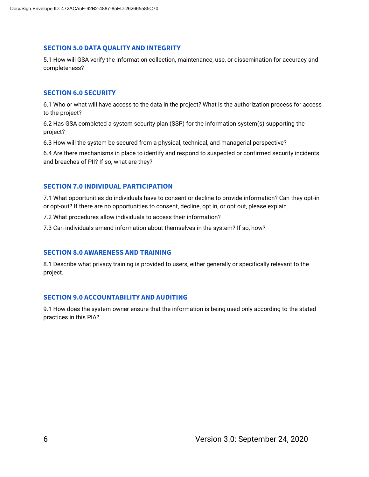#### **SECTION 5.0 DATA QUALITY AND INTEGRITY**

5.1 How will GSA verify the information collection, maintenance, use, or dissemination for accuracy and completeness?

#### **SECTION 6.0 SECURITY**

6.1 Who or what will have access to the data in the project? What is the authorization process for access to the project?

6.2 Has GSA completed a system security plan (SSP) for the information system(s) supporting the project?

6.3 How will the system be secured from a physical, technical, and managerial perspective?

6.4 Are there mechanisms in place to identify and respond to suspected or confirmed security incidents and breaches of PII? If so, what are they?

#### **SECTION 7.0 INDIVIDUAL PARTICIPATION**

7.1 What opportunities do individuals have to consent or decline to provide information? Can they opt-in or opt-out? If there are no opportunities to consent, decline, opt in, or opt out, please explain.

7.2 What procedures allow individuals to access their information?

7.3 Can individuals amend information about themselves in the system? If so, how?

#### **SECTION 8.0 AWARENESS AND TRAINING**

8.1 Describe what privacy training is provided to users, either generally or specifically relevant to the project.

#### **SECTION 9.0 ACCOUNTABILITY AND AUDITING**

9.1 How does the system owner ensure that the information is being used only according to the stated practices in this PIA?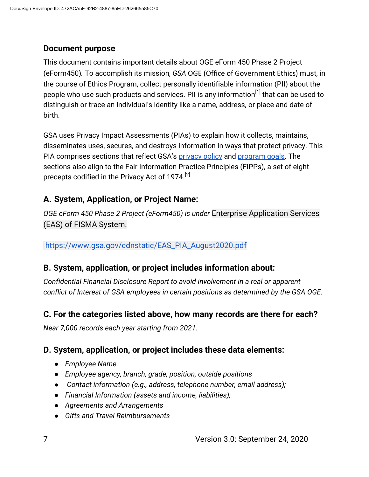#### **Document purpose**

This document contains important details about OGE eForm 450 Phase 2 Project (eForm450)*.* To accomplish its mission, *GSA* OGE (Office of Government Ethics) must, in the course of Ethics Program, collect personally identifiable information (PII) about the people who use such products and services. PII is any information<sup>[1]</sup> that can be used to distinguish or trace an individual's identity like a name, address, or place and date of birth.

GSA uses Privacy Impact Assessments (PIAs) to explain how it collects, maintains, disseminates uses, secures, and destroys information in ways that protect privacy. This PIA compri[s](https://www.gsa.gov/website-information/privacy-and-security-notice)es sections that reflect GSA's [privacy policy](https://www.gsa.gov/website-information/privacy-and-security-notice) and [program goals.](https://www.gsa.gov/portal/category/21419) The sections also align to the Fair Information Practice Principles (FIPPs), a set of eight precepts codified in the Privacy Act of 1974.<sup>[2]</sup>

## **A. System, Application, or Project Name:**

*OGE eForm 450 Phase 2 Project (eForm450) is under* Enterprise Application Services (EAS) of FISMA System.

#### [https://www.gsa.gov/cdnstatic/EAS\\_PIA\\_August2020.pdf](https://www.gsa.gov/cdnstatic/EAS_PIA_August2020.pdf)

#### **B. System, application, or project includes information about:**

*Confidential Financial Disclosure Report to avoid involvement in a real or apparent conflict of Interest of GSA employees in certain positions as determined by the GSA OGE.*

#### **C. For the categories listed above, how many records are there for each?**

*Near 7,000 records each year starting from 2021.*

#### **D. System, application, or project includes these data elements:**

- *Employee Name*
- *Employee agency, branch, grade, position, outside positions*
- *Contact information (e.g., address, telephone number, email address);*
- *Financial Information (assets and income, liabilities);*
- *Agreements and Arrangements*
- *Gifts and Travel Reimbursements*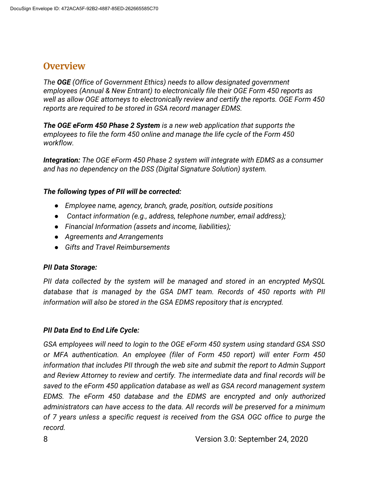## **Overview**

*The OGE (Office of Government Ethics) needs to allow designated government employees (Annual & New Entrant) to electronically file their OGE Form 450 reports as well as allow OGE attorneys to electronically review and certify the reports. OGE Form 450 reports are required to be stored in GSA record manager EDMS.*

*The OGE eForm 450 Phase 2 System is a new web application that supports the employees to file the form 450 online and manage the life cycle of the Form 450 workflow.* 

*Integration: The OGE eForm 450 Phase 2 system will integrate with EDMS as a consumer and has no dependency on the DSS (Digital Signature Solution) system.*

#### *The following types of PII will be corrected:*

- *Employee name, agency, branch, grade, position, outside positions*
- *Contact information (e.g., address, telephone number, email address);*
- *Financial Information (assets and income, liabilities);*
- *Agreements and Arrangements*
- *Gifts and Travel Reimbursements*

#### *PII Data Storage:*

*PII data collected by the system will be managed and stored in an encrypted MySQL database that is managed by the GSA DMT team. Records of 450 reports with PII information will also be stored in the GSA EDMS repository that is encrypted.* 

#### *PII Data End to End Life Cycle:*

*GSA employees will need to login to the OGE eForm 450 system using standard GSA SSO or MFA authentication. An employee (filer of Form 450 report) will enter Form 450 information that includes PII through the web site and submit the report to Admin Support and Review Attorney to review and certify. The intermediate data and final records will be saved to the eForm 450 application database as well as GSA record management system EDMS. The eForm 450 database and the EDMS are encrypted and only authorized administrators can have access to the data. All records will be preserved for a minimum of 7 years unless a specific request is received from the GSA OGC office to purge the record.*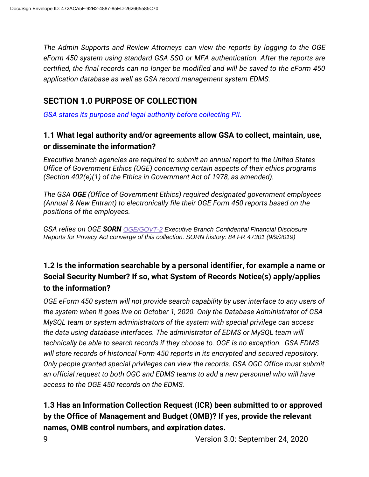*The Admin Supports and Review Attorneys can view the reports by logging to the OGE eForm 450 system using standard GSA SSO or MFA authentication. After the reports are certified, the final records can no longer be modified and will be saved to the eForm 450 application database as well as GSA record management system EDMS.*

## **SECTION 1.0 PURPOSE OF COLLECTION**

*GSA states its purpose and legal authority before collecting PII.*

#### **1.1 What legal authority and/or agreements allow GSA to collect, maintain, use, or disseminate the information?**

*Executive branch agencies are required to submit an annual report to the United States Office of Government Ethics (OGE) concerning certain aspects of their ethics programs (Section 402(e)(1) of the Ethics in Government Act of 1978, as amended).*

*The GSA OGE (Office of Government Ethics) required designated government employees (Annual & New Entrant) to electronically file their OGE Form 450 reports based on the positions of the employees.*

*GSA relies on OGE SORN [OGE/GOVT-2](https://www.federalregister.gov/documents/2019/09/09/2019-19373/privacy-act-of-1974-systems-of-records) Executive Branch Confidential Financial Disclosure Reports for Privacy Act converge of this collection. SORN history: 84 FR 47301 (9/9/2019)*

## **1.2 Is the information searchable by a personal identifier, for example a name or Social Security Number? If so, what System of Records Notice(s) apply/applies to the information?**

*OGE eForm 450 system will not provide search capability by user interface to any users of the system when it goes live on October 1, 2020. Only the Database Administrator of GSA MySQL team or system administrators of the system with special privilege can access the data using database interfaces. The administrator of EDMS or MySQL team will technically be able to search records if they choose to. OGE is no exception. GSA EDMS will store records of historical Form 450 reports in its encrypted and secured repository. Only people granted special privileges can view the records. GSA OGC Office must submit an official request to both OGC and EDMS teams to add a new personnel who will have access to the OGE 450 records on the EDMS.* 

## **1.3 Has an Information Collection Request (ICR) been submitted to or approved by the Office of Management and Budget (OMB)? If yes, provide the relevant names, OMB control numbers, and expiration dates.**

9 Version 3.0: September 24, 2020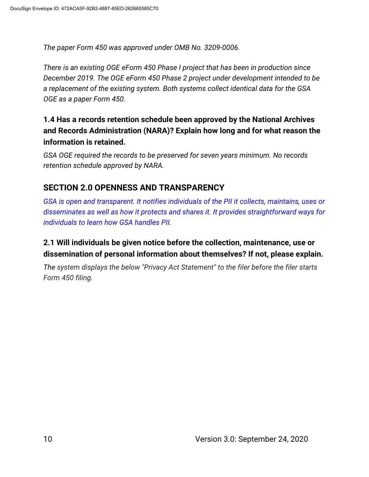*The paper Form 450 was approved under OMB No. 3209-0006.*

*There is an existing OGE eForm 450 Phase I project that has been in production since December 2019. The OGE eForm 450 Phase 2 project under development intended to be a replacement of the existing system. Both systems collect identical data for the GSA OGE as a paper Form 450.*

## **1.4 Has a records retention schedule been approved by the National Archives and Records Administration (NARA)? Explain how long and for what reason the information is retained.**

*GSA OGE required the records to be preserved for seven years minimum. No records retention schedule approved by NARA.*

## **SECTION 2.0 OPENNESS AND TRANSPARENCY**

*GSA is open and transparent. It notifies individuals of the PII it collects, maintains, uses or disseminates as well as how it protects and shares it. It provides straightforward ways for individuals to learn how GSA handles PII.*

#### **2.1 Will individuals be given notice before the collection, maintenance, use or dissemination of personal information about themselves? If not, please explain.**

*The system displays the below "Privacy Act Statement" to the filer before the filer starts Form 450 filing.*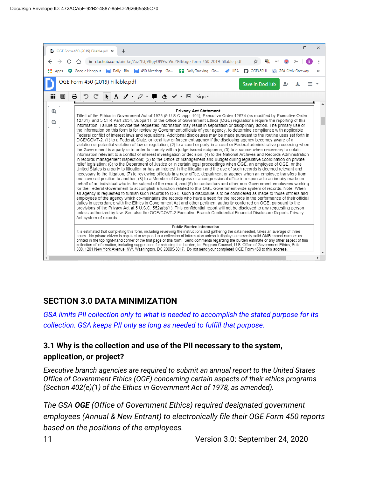

#### **SECTION 3.0 DATA MINIMIZATION**

*GSA limits PII collection only to what is needed to accomplish the stated purpose for its collection. GSA keeps PII only as long as needed to fulfill that purpose.*

## **3.1 Why is the collection and use of the PII necessary to the system, application, or project?**

*Executive branch agencies are required to submit an annual report to the United States Office of Government Ethics (OGE) concerning certain aspects of their ethics programs (Section 402(e)(1) of the Ethics in Government Act of 1978, as amended).*

*The GSA OGE (Office of Government Ethics) required designated government employees (Annual & New Entrant) to electronically file their OGE Form 450 reports based on the positions of the employees.*

11 Version 3.0: September 24, 2020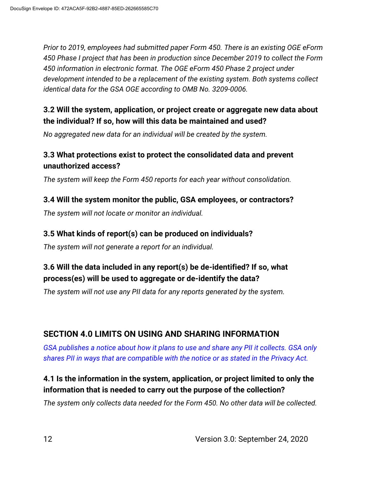*Prior to 2019, employees had submitted paper Form 450. There is an existing OGE eForm 450 Phase I project that has been in production since December 2019 to collect the Form 450 information in electronic format. The OGE eForm 450 Phase 2 project under development intended to be a replacement of the existing system. Both systems collect identical data for the GSA OGE according to OMB No. 3209-0006.*

## **3.2 Will the system, application, or project create or aggregate new data about the individual? If so, how will this data be maintained and used?**

*No aggregated new data for an individual will be created by the system.*

## **3.3 What protections exist to protect the consolidated data and prevent unauthorized access?**

*The system will keep the Form 450 reports for each year without consolidation.*

#### **3.4 Will the system monitor the public, GSA employees, or contractors?**

*The system will not locate or monitor an individual.*

#### **3.5 What kinds of report(s) can be produced on individuals?**

*The system will not generate a report for an individual.* 

## **3.6 Will the data included in any report(s) be de-identified? If so, what process(es) will be used to aggregate or de-identify the data?**

*The system will not use any PII data for any reports generated by the system.*

## **SECTION 4.0 LIMITS ON USING AND SHARING INFORMATION**

*GSA publishes a notice about how it plans to use and share any PII it collects. GSA only shares PII in ways that are compatible with the notice or as stated in the Privacy Act.*

## **4.1 Is the information in the system, application, or project limited to only the information that is needed to carry out the purpose of the collection?**

*The system only collects data needed for the Form 450. No other data will be collected.*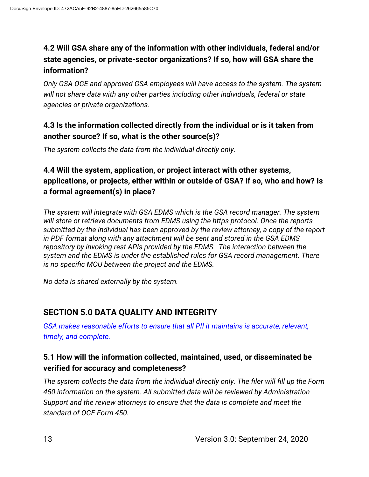## **4.2 Will GSA share any of the information with other individuals, federal and/or state agencies, or private-sector organizations? If so, how will GSA share the information?**

*Only GSA OGE and approved GSA employees will have access to the system. The system will not share data with any other parties including other individuals, federal or state agencies or private organizations.*

#### **4.3 Is the information collected directly from the individual or is it taken from another source? If so, what is the other source(s)?**

*The system collects the data from the individual directly only.*

#### **4.4 Will the system, application, or project interact with other systems, applications, or projects, either within or outside of GSA? If so, who and how? Is a formal agreement(s) in place?**

*The system will integrate with GSA EDMS which is the GSA record manager. The system will store or retrieve documents from EDMS using the https protocol. Once the reports submitted by the individual has been approved by the review attorney, a copy of the report in PDF format along with any attachment will be sent and stored in the GSA EDMS repository by invoking rest APIs provided by the EDMS. The interaction between the system and the EDMS is under the established rules for GSA record management. There is no specific MOU between the project and the EDMS.*

*No data is shared externally by the system.*

## **SECTION 5.0 DATA QUALITY AND INTEGRITY**

*GSA makes reasonable efforts to ensure that all PII it maintains is accurate, relevant, timely, and complete.*

#### **5.1 How will the information collected, maintained, used, or disseminated be verified for accuracy and completeness?**

*The system collects the data from the individual directly only. The filer will fill up the Form 450 information on the system. All submitted data will be reviewed by Administration Support and the review attorneys to ensure that the data is complete and meet the standard of OGE Form 450.*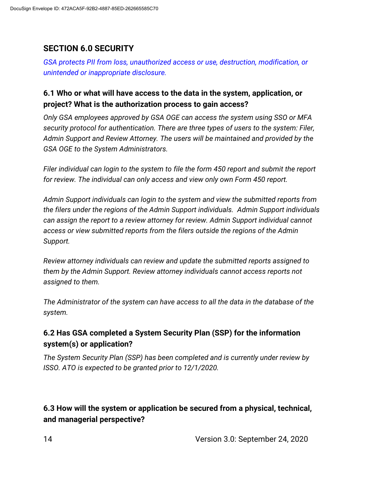## **SECTION 6.0 SECURITY**

*GSA protects PII from loss, unauthorized access or use, destruction, modification, or unintended or inappropriate disclosure.*

#### **6.1 Who or what will have access to the data in the system, application, or project? What is the authorization process to gain access?**

*Only GSA employees approved by GSA OGE can access the system using SSO or MFA security protocol for authentication. There are three types of users to the system: Filer, Admin Support and Review Attorney. The users will be maintained and provided by the GSA OGE to the System Administrators.*

*Filer individual can login to the system to file the form 450 report and submit the report for review. The individual can only access and view only own Form 450 report.*

*Admin Support individuals can login to the system and view the submitted reports from the filers under the regions of the Admin Support individuals. Admin Support individuals can assign the report to a review attorney for review. Admin Support individual cannot access or view submitted reports from the filers outside the regions of the Admin Support.*

*Review attorney individuals can review and update the submitted reports assigned to them by the Admin Support. Review attorney individuals cannot access reports not assigned to them.*

*The Administrator of the system can have access to all the data in the database of the system.*

#### **6.2 Has GSA completed a System Security Plan (SSP) for the information system(s) or application?**

*The System Security Plan (SSP) has been completed and is currently under review by ISSO. ATO is expected to be granted prior to 12/1/2020.*

**6.3 How will the system or application be secured from a physical, technical, and managerial perspective?**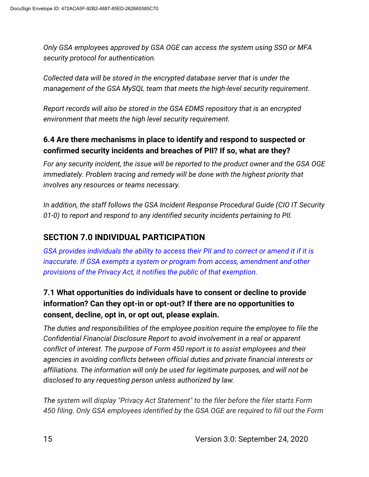*Only GSA employees approved by GSA OGE can access the system using SSO or MFA security protocol for authentication.*

*Collected data will be stored in the encrypted database server that is under the management of the GSA MySQL team that meets the high-level security requirement.*

*Report records will also be stored in the GSA EDMS repository that is an encrypted environment that meets the high level security requirement.* 

## **6.4 Are there mechanisms in place to identify and respond to suspected or confirmed security incidents and breaches of PII? If so, what are they?**

*For any security incident, the issue will be reported to the product owner and the GSA OGE immediately. Problem tracing and remedy will be done with the highest priority that involves any resources or teams necessary.*

*In addition, the staff follows the GSA Incident Response Procedural Guide (CIO IT Security 01-0) to report and respond to any identified security incidents pertaining to PII.*

## **SECTION 7.0 INDIVIDUAL PARTICIPATION**

*GSA provides individuals the ability to access their PII and to correct or amend it if it is inaccurate. If GSA exempts a system or program from access, amendment and other provisions of the Privacy Act, it notifies the public of that exemption.*

## **7.1 What opportunities do individuals have to consent or decline to provide information? Can they opt-in or opt-out? If there are no opportunities to consent, decline, opt in, or opt out, please explain.**

*The duties and responsibilities of the employee position require the employee to file the Confidential Financial Disclosure Report to avoid involvement in a real or apparent conflict of interest. The purpose of Form 450 report is to assist employees and their agencies in avoiding conflicts between official duties and private financial interests or affiliations. The information will only be used for legitimate purposes, and will not be disclosed to any requesting person unless authorized by law.*

*The system will display "Privacy Act Statement" to the filer before the filer starts Form 450 filing. Only GSA employees identified by the GSA OGE are required to fill out the Form*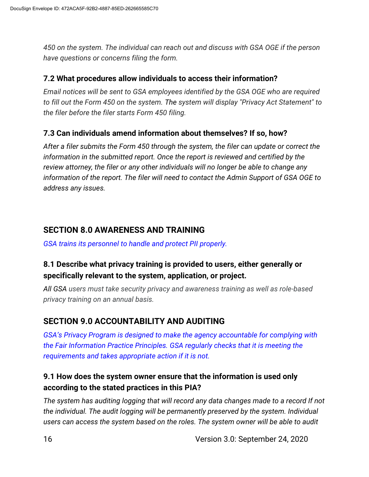*450 on the system. The individual can reach out and discuss with GSA OGE if the person have questions or concerns filing the form.* 

#### **7.2 What procedures allow individuals to access their information?**

*Email notices will be sent to GSA employees identified by the GSA OGE who are required to fill out the Form 450 on the system. The system will display "Privacy Act Statement" to the filer before the filer starts Form 450 filing.*

#### **7.3 Can individuals amend information about themselves? If so, how?**

*After a filer submits the Form 450 through the system, the filer can update or correct the information in the submitted report. Once the report is reviewed and certified by the review attorney, the filer or any other individuals will no longer be able to change any information of the report. The filer will need to contact the Admin Support of GSA OGE to address any issues.*

#### **SECTION 8.0 AWARENESS AND TRAINING**

*GSA trains its personnel to handle and protect PII properly.*

#### **8.1 Describe what privacy training is provided to users, either generally or specifically relevant to the system, application, or project.**

*All GSA users must take security privacy and awareness training as well as role-based privacy training on an annual basis.*

## **SECTION 9.0 ACCOUNTABILITY AND AUDITING**

*GSA's Privacy Program is designed to make the agency accountable for complying with the Fair Information Practice Principles. GSA regularly checks that it is meeting the requirements and takes appropriate action if it is not.*

#### **9.1 How does the system owner ensure that the information is used only according to the stated practices in this PIA?**

*The system has auditing logging that will record any data changes made to a record If not the individual. The audit logging will be permanently preserved by the system. Individual users can access the system based on the roles. The system owner will be able to audit*